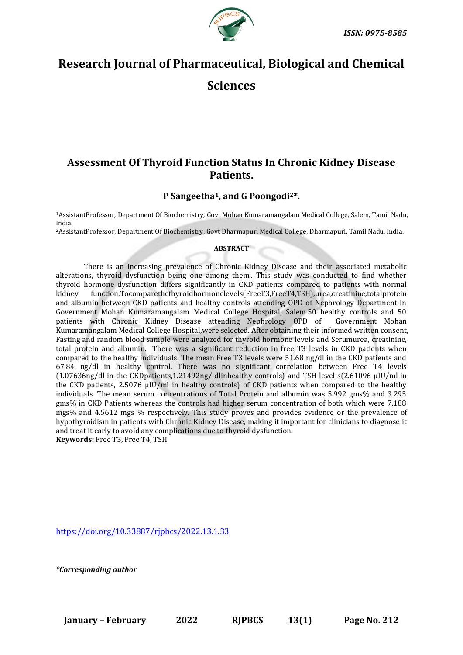

# **Research Journal of Pharmaceutical, Biological and Chemical Sciences**

## **Assessment Of Thyroid Function Status In Chronic Kidney Disease Patients.**

### **P Sangeetha1, and G Poongodi2\*.**

<sup>1</sup>AssistantProfessor, Department Of Biochemistry, Govt Mohan Kumaramangalam Medical College, Salem, Tamil Nadu, India.

<sup>2</sup>AssistantProfessor, Department Of Biochemistry, Govt Dharmapuri Medical College, Dharmapuri, Tamil Nadu, India.

#### **ABSTRACT**

There is an increasing prevalence of Chronic Kidney Disease and their associated metabolic alterations, thyroid dysfunction being one among them.. This study was conducted to find whether thyroid hormone dysfunction differs significantly in CKD patients compared to patients with normal kidney function.Tocomparethethyroidhormonelevels(FreeT3,FreeT4,TSH),urea,creatinine,totalprotein and albumin between CKD patients and healthy controls attending OPD of Nephrology Department in Government Mohan Kumaramangalam Medical College Hospital, Salem.50 healthy controls and 50 patients with Chronic Kidney Disease attending Nephrology OPD of Government Mohan Kumaramangalam Medical College Hospital,were selected. After obtaining their informed written consent, Fasting and random blood sample were analyzed for thyroid hormone levels and Serumurea, creatinine, total protein and albumin. There was a significant reduction in free T3 levels in CKD patients when compared to the healthy individuals. The mean Free T3 levels were 51.68 ng/dl in the CKD patients and 67.84 ng/dl in healthy control. There was no significant correlation between Free T4 levels (1.07636ng/dl in the CKDpatients,1.21492ng/ dlinhealthy controls) and TSH level s(2.61096 µIU/ml in the CKD patients, 2.5076 µIU/ml in healthy controls) of CKD patients when compared to the healthy individuals. The mean serum concentrations of Total Protein and albumin was 5.992 gms% and 3.295 gms% in CKD Patients whereas the controls had higher serum concentration of both which were 7.188 mgs% and 4.5612 mgs % respectively. This study proves and provides evidence or the prevalence of hypothyroidism in patients with Chronic Kidney Disease, making it important for clinicians to diagnose it and treat it early to avoid any complications due to thyroid dysfunction. **Keywords:** Free T3, Free T4, TSH

<https://doi.org/10.33887/rjpbcs/2022.13.1.33>

*\*Corresponding author*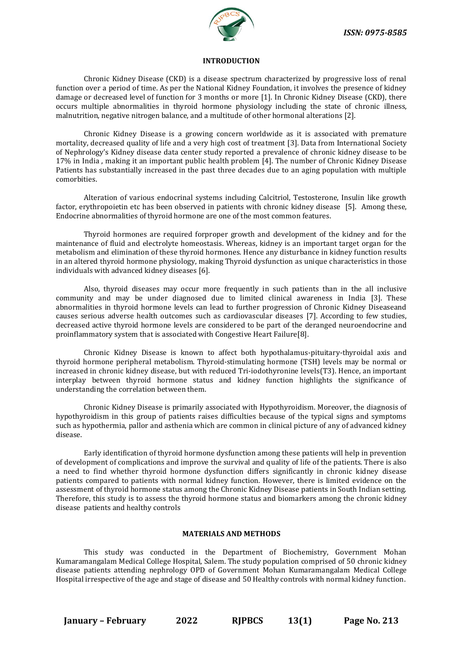

#### **INTRODUCTION**

Chronic Kidney Disease (CKD) is a disease spectrum characterized by progressive loss of renal function over a period of time. As per the National Kidney Foundation, it involves the presence of kidney damage or decreased level of function for 3 months or more [1]. In Chronic Kidney Disease (CKD), there occurs multiple abnormalities in thyroid hormone physiology including the state of chronic illness, malnutrition, negative nitrogen balance, and a multitude of other hormonal alterations [2].

Chronic Kidney Disease is a growing concern worldwide as it is associated with premature mortality, decreased quality of life and a very high cost of treatment [3]. Data from International Society of Nephrology's Kidney disease data center study reported a prevalence of chronic kidney disease to be 17% in India , making it an important public health problem [4]. The number of Chronic Kidney Disease Patients has substantially increased in the past three decades due to an aging population with multiple comorbities.

Alteration of various endocrinal systems including Calcitriol, Testosterone, Insulin like growth factor, erythropoietin etc has been observed in patients with chronic kidney disease [5]. Among these, Endocrine abnormalities of thyroid hormone are one of the most common features.

Thyroid hormones are required forproper growth and development of the kidney and for the maintenance of fluid and electrolyte homeostasis. Whereas, kidney is an important target organ for the metabolism and elimination of these thyroid hormones. Hence any disturbance in kidney function results in an altered thyroid hormone physiology, making Thyroid dysfunction as unique characteristics in those individuals with advanced kidney diseases [6].

Also, thyroid diseases may occur more frequently in such patients than in the all inclusive community and may be under diagnosed due to limited clinical awareness in India [3]. These abnormalities in thyroid hormone levels can lead to further progression of Chronic Kidney Diseaseand causes serious adverse health outcomes such as cardiovascular diseases [7]. According to few studies, decreased active thyroid hormone levels are considered to be part of the deranged neuroendocrine and proinflammatory system that is associated with Congestive Heart Failure[8].

Chronic Kidney Disease is known to affect both hypothalamus-pituitary-thyroidal axis and thyroid hormone peripheral metabolism. Thyroid-stimulating hormone (TSH) levels may be normal or increased in chronic kidney disease, but with reduced Tri-iodothyronine levels(T3). Hence, an important interplay between thyroid hormone status and kidney function highlights the significance of understanding the correlation between them.

Chronic Kidney Disease is primarily associated with Hypothyroidism. Moreover, the diagnosis of hypothyroidism in this group of patients raises difficulties because of the typical signs and symptoms such as hypothermia, pallor and asthenia which are common in clinical picture of any of advanced kidney disease.

Early identification of thyroid hormone dysfunction among these patients will help in prevention of development of complications and improve the survival and quality of life of the patients. There is also a need to find whether thyroid hormone dysfunction differs significantly in chronic kidney disease patients compared to patients with normal kidney function. However, there is limited evidence on the assessment of thyroid hormone status among the Chronic Kidney Disease patients in South Indian setting. Therefore, this study is to assess the thyroid hormone status and biomarkers among the chronic kidney disease patients and healthy controls

#### **MATERIALS AND METHODS**

This study was conducted in the Department of Biochemistry, Government Mohan Kumaramangalam Medical College Hospital, Salem. The study population comprised of 50 chronic kidney disease patients attending nephrology OPD of Government Mohan Kumaramangalam Medical College Hospital irrespective of the age and stage of disease and 50 Healthy controls with normal kidney function.

**January – February 2022 RJPBCS 13(1) Page No. 213**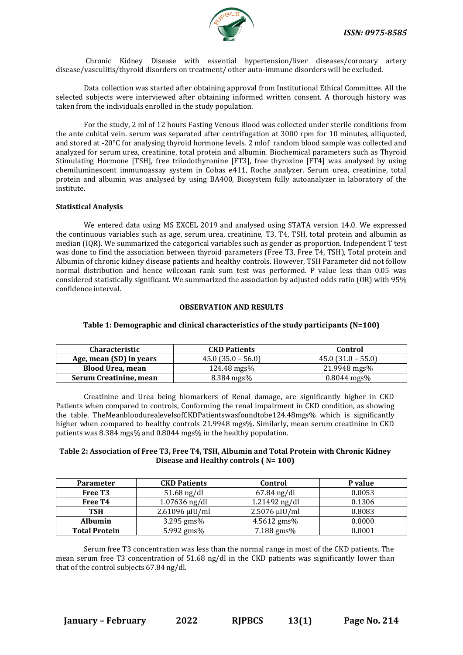Chronic Kidney Disease with essential hypertension/liver diseases/coronary artery disease/vasculitis/thyroid disorders on treatment/ other auto-immune disorders will be excluded.

Data collection was started after obtaining approval from Institutional Ethical Committee. All the selected subjects were interviewed after obtaining informed written consent. A thorough history was taken from the individuals enrolled in the study population.

For the study, 2 ml of 12 hours Fasting Venous Blood was collected under sterile conditions from the ante cubital vein. serum was separated after centrifugation at 3000 rpm for 10 minutes, alliquoted, and stored at -20°C for analysing thyroid hormone levels. 2 mlof random blood sample was collected and analyzed for serum urea, creatinine, total protein and albumin. Biochemical parameters such as Thyroid Stimulating Hormone [TSH], free triiodothyronine [FT3], free thyroxine [FT4] was analysed by using chemiluminescent immunoassay system in Cobas e411, Roche analyzer. Serum urea, creatinine, total protein and albumin was analysed by using BA400, Biosystem fully autoanalyzer in laboratory of the institute.

#### **Statistical Analysis**

We entered data using MS EXCEL 2019 and analysed using STATA version 14.0. We expressed the continuous variables such as age, serum urea, creatinine, T3, T4, TSH, total protein and albumin as median (IQR). We summarized the categorical variables such as gender as proportion. Independent T test was done to find the association between thyroid parameters (Free T3, Free T4, TSH), Total protein and Albumin of chronic kidney disease patients and healthy controls. However, TSH Parameter did not follow normal distribution and hence wilcoxan rank sum test was performed. P value less than 0.05 was considered statistically significant. We summarized the association by adjusted odds ratio (OR) with 95% confidence interval.

#### **OBSERVATION AND RESULTS**

| <b>Characteristic</b><br><b>CKD Patients</b> |                                             | Control                  |  |
|----------------------------------------------|---------------------------------------------|--------------------------|--|
| Age, mean (SD) in years                      | $45.0$ (31.0 – 55.0)<br>$45.0(35.0 - 56.0)$ |                          |  |
| <b>Blood Urea, mean</b>                      | $124.48 \,\text{mgs\%}$                     | 21.9948 mgs%             |  |
| Serum Creatinine, mean                       | $8.384 \; \text{mgs\%}$                     | $0.8044 \; \text{mgs\%}$ |  |

#### **Table 1: Demographic and clinical characteristics of the study participants (N=100)**

Creatinine and Urea being biomarkers of Renal damage, are significantly higher in CKD Patients when compared to controls, Conforming the renal impairment in CKD condition, as showing the table. TheMeanbloodurealevelsofCKDPatientswasfoundtobe124.48mgs% which is significantly higher when compared to healthy controls 21.9948 mgs%. Similarly, mean serum creatinine in CKD patients was 8.384 mgs% and 0.8044 mgs% in the healthy population.

#### **Table 2: Association of Free T3, Free T4, TSH, Albumin and Total Protein with Chronic Kidney Disease and Healthy controls ( N= 100)**

| <b>Parameter</b>     | <b>CKD Patients</b> | Control            | P value |
|----------------------|---------------------|--------------------|---------|
| Free T <sub>3</sub>  | $51.68$ ng/dl       | $67.84$ ng/dl      | 0.0053  |
| Free T <sub>4</sub>  | $1.07636$ ng/dl     | 1.21492 ng/dl      | 0.1306  |
| TSH                  | $2.61096 \mu$ IU/ml | $2.5076 \mu$ IU/ml | 0.8083  |
| <b>Albumin</b>       | 3.295 gms%          | 4.5612 gms%        | 0.0000  |
| <b>Total Protein</b> | 5.992 gms%          | 7.188 gms%         | 0.0001  |

Serum free T3 concentration was less than the normal range in most of the CKD patients. The mean serum free T3 concentration of 51.68 ng/dl in the CKD patients was significantly lower than that of the control subjects 67.84 ng/dl.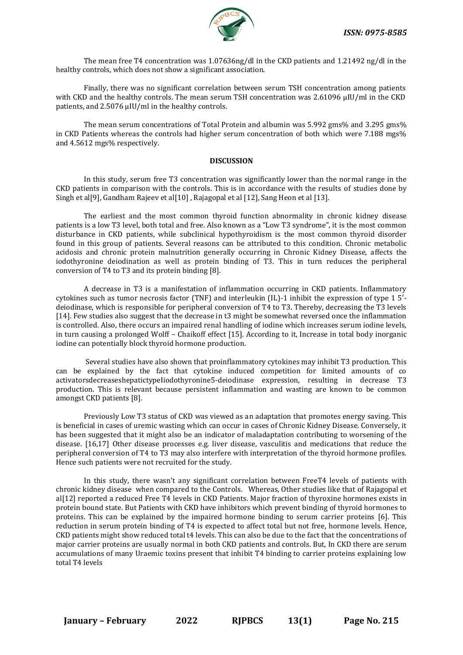

The mean free T4 concentration was 1.07636ng/dl in the CKD patients and 1.21492 ng/dl in the healthy controls, which does not show a significant association.

Finally, there was no significant correlation between serum TSH concentration among patients with CKD and the healthy controls. The mean serum TSH concentration was 2.61096 µIU/ml in the CKD patients, and 2.5076 µIU/ml in the healthy controls.

The mean serum concentrations of Total Protein and albumin was 5.992 gms% and 3.295 gms% in CKD Patients whereas the controls had higher serum concentration of both which were 7.188 mgs% and 4.5612 mgs% respectively.

#### **DISCUSSION**

In this study, serum free T3 concentration was significantly lower than the normal range in the CKD patients in comparison with the controls. This is in accordance with the results of studies done by Singh et al[9], Gandham Rajeev et al[10], Rajagopal et al [12], Sang Heon et al [13].

The earliest and the most common thyroid function abnormality in chronic kidney disease patients is a low T3 level, both total and free. Also known as a "Low T3 syndrome", it is the most common disturbance in CKD patients, while subclinical hypothyroidism is the most common thyroid disorder found in this group of patients. Several reasons can be attributed to this condition. Chronic metabolic acidosis and chronic protein malnutrition generally occurring in Chronic Kidney Disease, affects the iodothyronine deiodination as well as protein binding of T3. This in turn reduces the peripheral conversion of T4 to T3 and its protein binding [8].

A decrease in T3 is a manifestation of inflammation occurring in CKD patients. Inflammatory cytokines such as tumor necrosis factor (TNF) and interleukin (IL)-1 inhibit the expression of type 1 5′ deiodinase, which is responsible for peripheral conversion of T4 to T3. Thereby, decreasing the T3 levels [14]. Few studies also suggest that the decrease in t3 might be somewhat reversed once the inflammation is controlled. Also, there occurs an impaired renal handling of iodine which increases serum iodine levels, in turn causing a prolonged Wolff – Chaikoff effect [15]. According to it, Increase in total body inorganic iodine can potentially block thyroid hormone production.

Several studies have also shown that proinflammatory cytokines may inhibit T3 production. This can be explained by the fact that cytokine induced competition for limited amounts of co activatorsdecreaseshepatictypeIiodothyronine5-deiodinase expression, resulting in decrease T3 production. This is relevant because persistent inflammation and wasting are known to be common amongst CKD patients [8].

Previously Low T3 status of CKD was viewed as an adaptation that promotes energy saving. This is beneficial in cases of uremic wasting which can occur in cases of Chronic Kidney Disease. Conversely, it has been suggested that it might also be an indicator of maladaptation contributing to worsening of the disease. [16,17] Other disease processes e.g. liver disease, vasculitis and medications that reduce the peripheral conversion of T4 to T3 may also interfere with interpretation of the thyroid hormone profiles. Hence such patients were not recruited for the study.

In this study, there wasn't any significant correlation between FreeT4 levels of patients with chronic kidney disease when compared to the Controls. Whereas, Other studies like that of Rajagopal et al[12] reported a reduced Free T4 levels in CKD Patients. Major fraction of thyroxine hormones exists in protein bound state. But Patients with CKD have inhibitors which prevent binding of thyroid hormones to proteins. This can be explained by the impaired hormone binding to serum carrier proteins [6]. This reduction in serum protein binding of T4 is expected to affect total but not free, hormone levels. Hence, CKD patients might show reduced total t4 levels. This can also be due to the fact that the concentrations of major carrier proteins are usually normal in both CKD patients and controls. But, In CKD there are serum accumulations of many Uraemic toxins present that inhibit T4 binding to carrier proteins explaining low total T4 levels

**January – February 2022 RJPBCS 13(1) Page No. 215**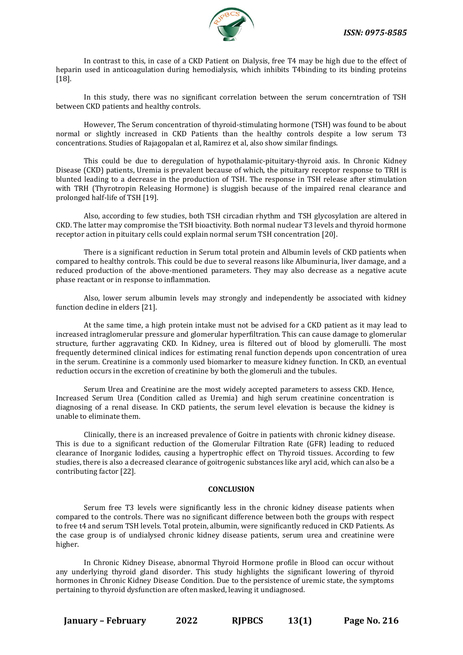

In contrast to this, in case of a CKD Patient on Dialysis, free T4 may be high due to the effect of heparin used in anticoagulation during hemodialysis, which inhibits T4binding to its binding proteins [18].

In this study, there was no significant correlation between the serum concerntration of TSH between CKD patients and healthy controls.

However, The Serum concentration of thyroid-stimulating hormone (TSH) was found to be about normal or slightly increased in CKD Patients than the healthy controls despite a low serum T3 concentrations. Studies of Rajagopalan et al, Ramirez et al, also show similar findings.

This could be due to deregulation of hypothalamic-pituitary-thyroid axis. In Chronic Kidney Disease (CKD) patients, Uremia is prevalent because of which, the pituitary receptor response to TRH is blunted leading to a decrease in the production of TSH. The response in TSH release after stimulation with TRH (Thyrotropin Releasing Hormone) is sluggish because of the impaired renal clearance and prolonged half-life of TSH [19].

Also, according to few studies, both TSH circadian rhythm and TSH glycosylation are altered in CKD. The latter may compromise the TSH bioactivity. Both normal nuclear T3 levels and thyroid hormone receptor action in pituitary cells could explain normal serum TSH concentration [20].

There is a significant reduction in Serum total protein and Albumin levels of CKD patients when compared to healthy controls. This could be due to several reasons like Albuminuria, liver damage, and a reduced production of the above-mentioned parameters. They may also decrease as a negative acute phase reactant or in response to inflammation.

Also, lower serum albumin levels may strongly and independently be associated with kidney function decline in elders [21].

At the same time, a high protein intake must not be advised for a CKD patient as it may lead to increased intraglomerular pressure and glomerular hyperfiltration. This can cause damage to glomerular structure, further aggravating CKD. In Kidney, urea is filtered out of blood by glomerulli. The most frequently determined clinical indices for estimating renal function depends upon concentration of urea in the serum. Creatinine is a commonly used biomarker to measure kidney function. In CKD, an eventual reduction occurs in the excretion of creatinine by both the glomeruli and the tubules.

Serum Urea and Creatinine are the most widely accepted parameters to assess CKD. Hence, Increased Serum Urea (Condition called as Uremia) and high serum creatinine concentration is diagnosing of a renal disease. In CKD patients, the serum level elevation is because the kidney is unable to eliminate them.

Clinically, there is an increased prevalence of Goitre in patients with chronic kidney disease. This is due to a significant reduction of the Glomerular Filtration Rate (GFR) leading to reduced clearance of Inorganic Iodides, causing a hypertrophic effect on Thyroid tissues. According to few studies, there is also a decreased clearance of goitrogenic substances like aryl acid, which can also be a contributing factor [22].

#### **CONCLUSION**

Serum free T3 levels were significantly less in the chronic kidney disease patients when compared to the controls. There was no significant difference between both the groups with respect to free t4 and serum TSH levels. Total protein, albumin, were significantly reduced in CKD Patients. As the case group is of undialysed chronic kidney disease patients, serum urea and creatinine were higher.

In Chronic Kidney Disease, abnormal Thyroid Hormone profile in Blood can occur without any underlying thyroid gland disorder. This study highlights the significant lowering of thyroid hormones in Chronic Kidney Disease Condition. Due to the persistence of uremic state, the symptoms pertaining to thyroid dysfunction are often masked, leaving it undiagnosed.

**January – February 2022 RJPBCS 13(1) Page No. 216**